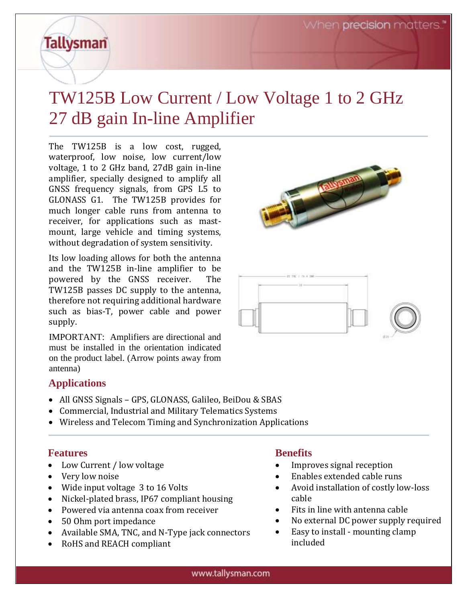# **Tallysman**

## TW125B Low Current / Low Voltage 1 to 2 GHz 27 dB gain In-line Amplifier

The TW125B is a low cost, rugged, waterproof, low noise, low current/low voltage, 1 to 2 GHz band, 27dB gain in-line amplifier, specially designed to amplify all GNSS frequency signals, from GPS L5 to GLONASS G1. The TW125B provides for much longer cable runs from antenna to receiver, for applications such as mastmount, large vehicle and timing systems, without degradation of system sensitivity.

Its low loading allows for both the antenna and the TW125B in-line amplifier to be powered by the GNSS receiver. The TW125B passes DC supply to the antenna, therefore not requiring additional hardware such as bias-T, power cable and power supply.

IMPORTANT: Amplifiers are directional and must be installed in the orientation indicated on the product label. (Arrow points away from antenna)

### **Applications**

- All GNSS Signals GPS, GLONASS, Galileo, BeiDou & SBAS
- Commercial, Industrial and Military Telematics Systems
- Wireless and Telecom Timing and Synchronization Applications

#### **Features**

- Low Current / low voltage
- Very low noise
- Wide input voltage 3 to 16 Volts
- Nickel-plated brass, IP67 compliant housing
- Powered via antenna coax from receiver
- 50 Ohm port impedance
- Available SMA, TNC, and N-Type jack connectors
- RoHS and REACH compliant

#### **Benefits**

- Improves signal reception
- Enables extended cable runs
- Avoid installation of costly low-loss cable
- Fits in line with antenna cable
- No external DC power supply required
- Easy to install mounting clamp included